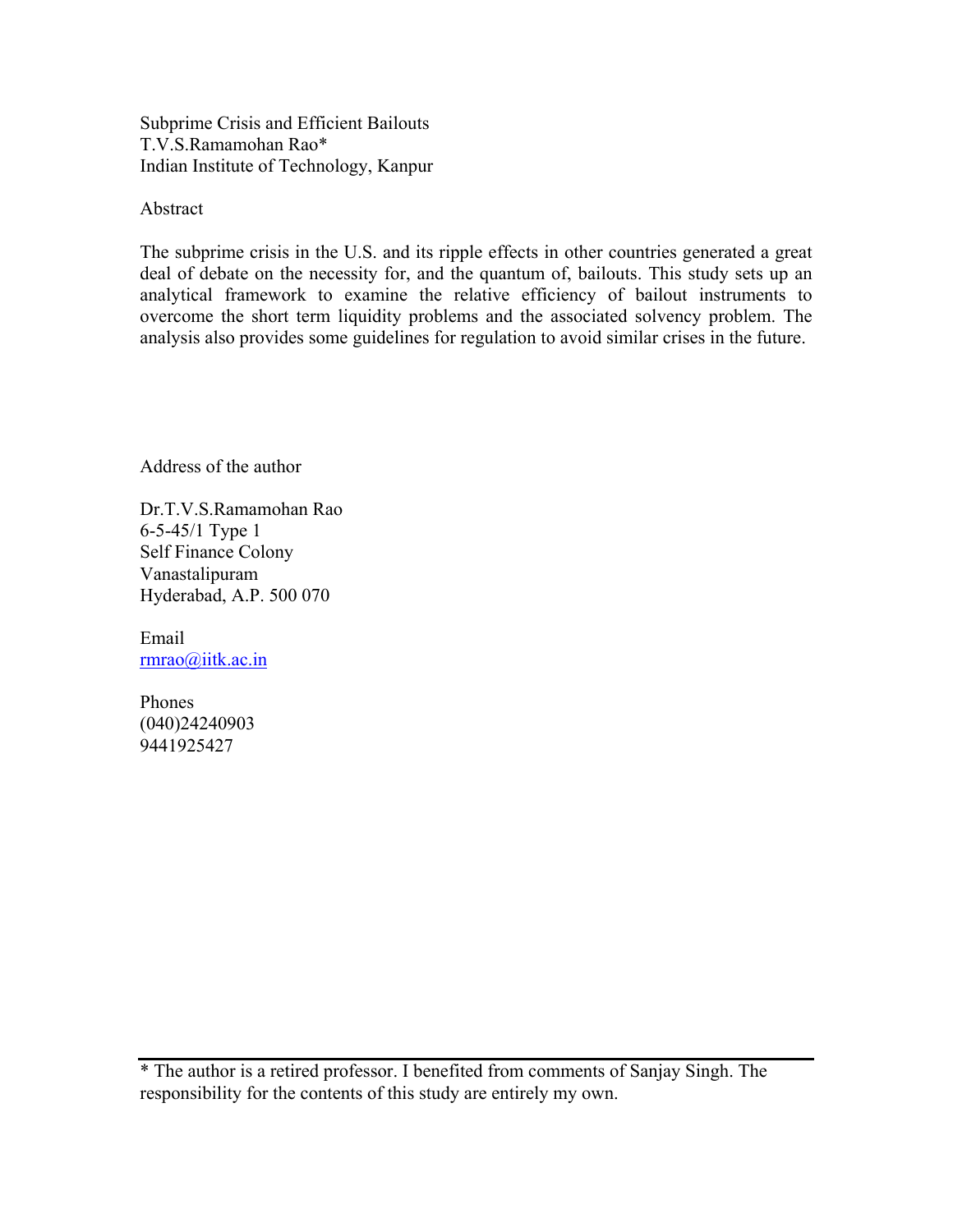Subprime Crisis and Efficient Bailouts T.V.S.Ramamohan Rao\* Indian Institute of Technology, Kanpur

Abstract

The subprime crisis in the U.S. and its ripple effects in other countries generated a great deal of debate on the necessity for, and the quantum of, bailouts. This study sets up an analytical framework to examine the relative efficiency of bailout instruments to overcome the short term liquidity problems and the associated solvency problem. The analysis also provides some guidelines for regulation to avoid similar crises in the future.

Address of the author

Dr.T.V.S.Ramamohan Rao 6-5-45/1 Type 1 Self Finance Colony Vanastalipuram Hyderabad, A.P. 500 070

Email rmrao@iitk.ac.in

Phones (040)24240903 9441925427

\* The author is a retired professor. I benefited from comments of Sanjay Singh. The responsibility for the contents of this study are entirely my own.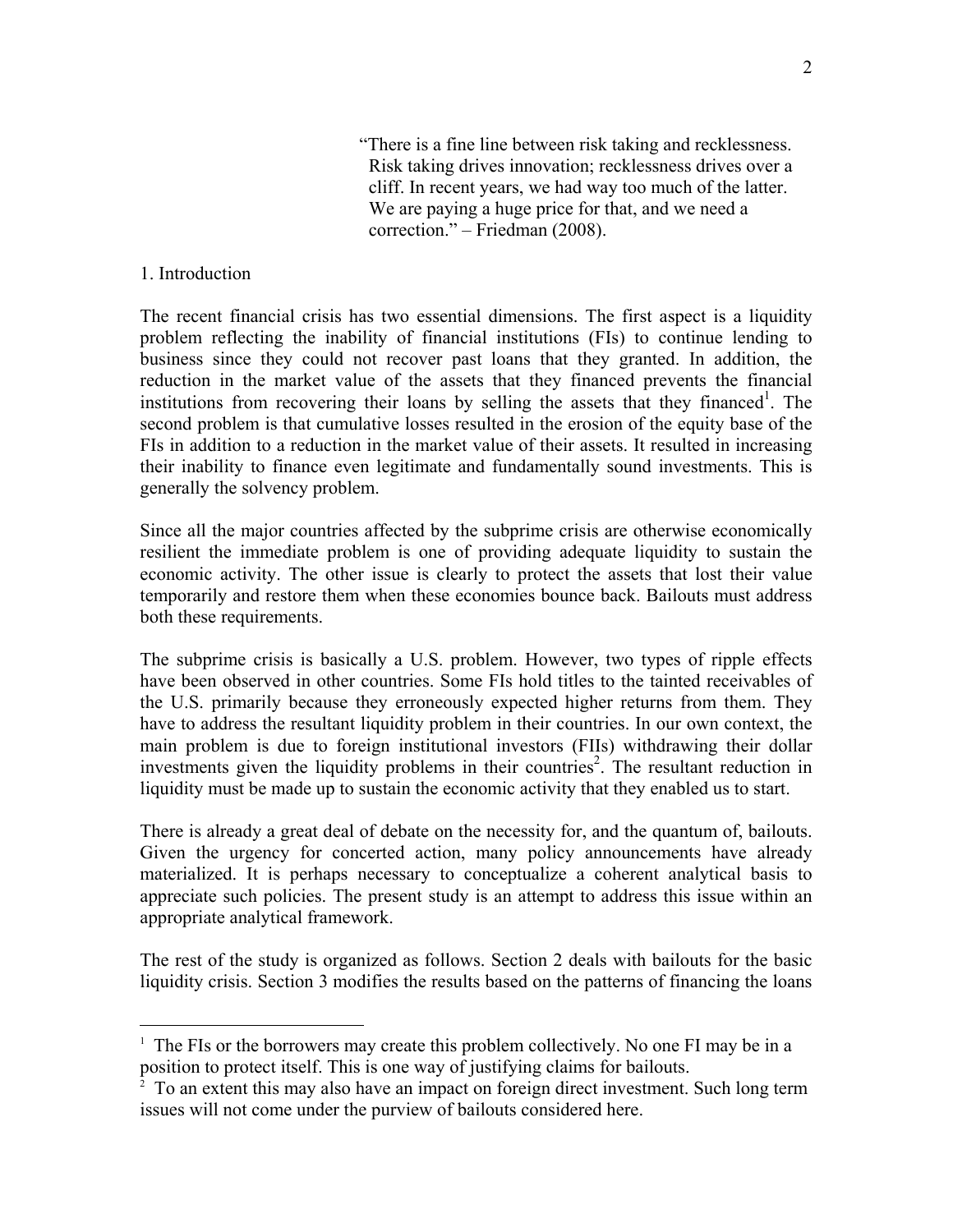"There is a fine line between risk taking and recklessness. Risk taking drives innovation; recklessness drives over a cliff. In recent years, we had way too much of the latter. We are paying a huge price for that, and we need a correction." – Friedman (2008).

### 1. Introduction

 $\overline{a}$ 

The recent financial crisis has two essential dimensions. The first aspect is a liquidity problem reflecting the inability of financial institutions (FIs) to continue lending to business since they could not recover past loans that they granted. In addition, the reduction in the market value of the assets that they financed prevents the financial institutions from recovering their loans by selling the assets that they financed<sup>1</sup>. The second problem is that cumulative losses resulted in the erosion of the equity base of the FIs in addition to a reduction in the market value of their assets. It resulted in increasing their inability to finance even legitimate and fundamentally sound investments. This is generally the solvency problem.

Since all the major countries affected by the subprime crisis are otherwise economically resilient the immediate problem is one of providing adequate liquidity to sustain the economic activity. The other issue is clearly to protect the assets that lost their value temporarily and restore them when these economies bounce back. Bailouts must address both these requirements.

The subprime crisis is basically a U.S. problem. However, two types of ripple effects have been observed in other countries. Some FIs hold titles to the tainted receivables of the U.S. primarily because they erroneously expected higher returns from them. They have to address the resultant liquidity problem in their countries. In our own context, the main problem is due to foreign institutional investors (FIIs) withdrawing their dollar investments given the liquidity problems in their countries<sup>2</sup>. The resultant reduction in liquidity must be made up to sustain the economic activity that they enabled us to start.

There is already a great deal of debate on the necessity for, and the quantum of, bailouts. Given the urgency for concerted action, many policy announcements have already materialized. It is perhaps necessary to conceptualize a coherent analytical basis to appreciate such policies. The present study is an attempt to address this issue within an appropriate analytical framework.

The rest of the study is organized as follows. Section 2 deals with bailouts for the basic liquidity crisis. Section 3 modifies the results based on the patterns of financing the loans

<sup>&</sup>lt;sup>1</sup> The FIs or the borrowers may create this problem collectively. No one FI may be in a position to protect itself. This is one way of justifying claims for bailouts.

 $\frac{1}{2}$  To an extent this may also have an impact on foreign direct investment. Such long term issues will not come under the purview of bailouts considered here.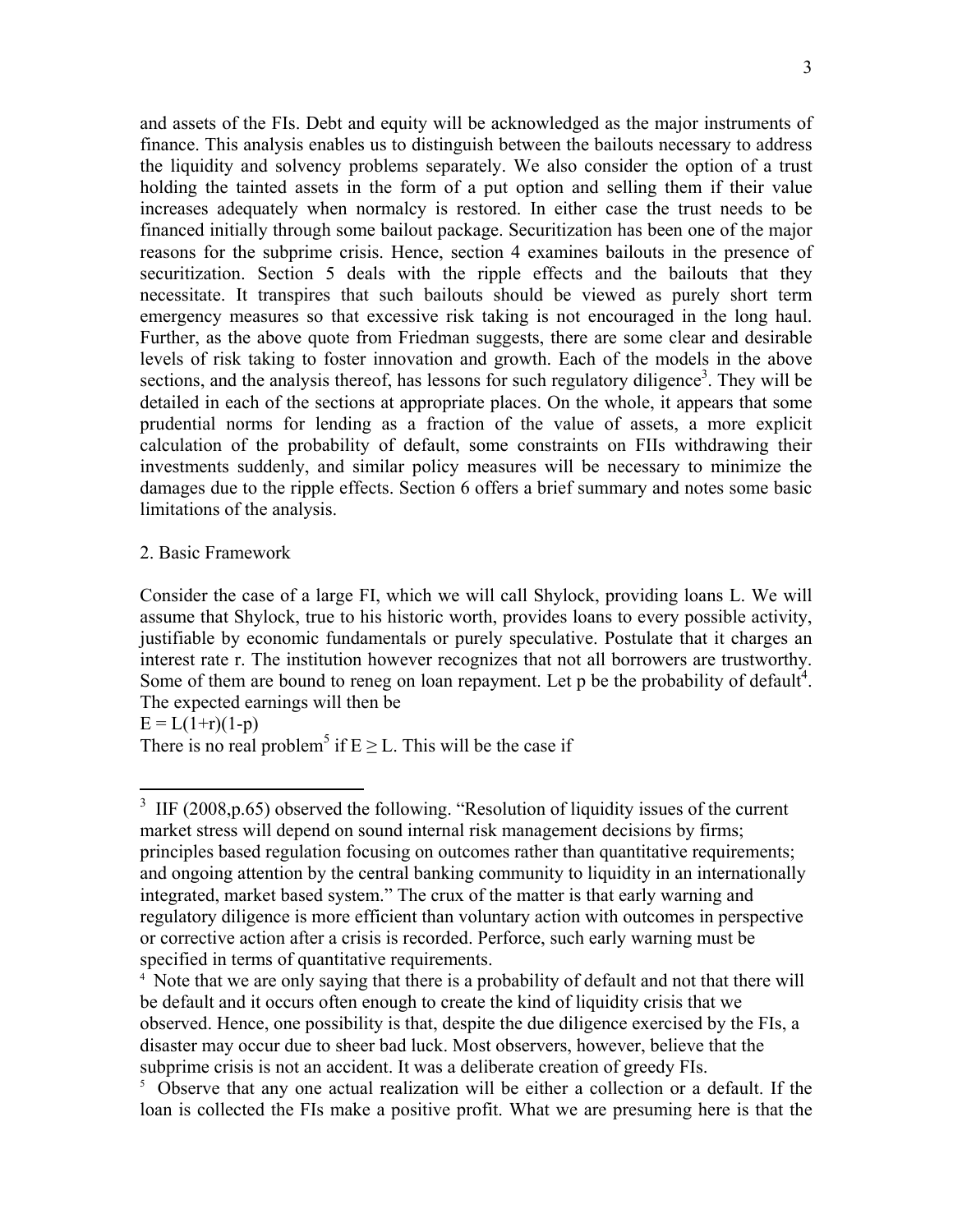and assets of the FIs. Debt and equity will be acknowledged as the major instruments of finance. This analysis enables us to distinguish between the bailouts necessary to address the liquidity and solvency problems separately. We also consider the option of a trust holding the tainted assets in the form of a put option and selling them if their value increases adequately when normalcy is restored. In either case the trust needs to be financed initially through some bailout package. Securitization has been one of the major reasons for the subprime crisis. Hence, section 4 examines bailouts in the presence of securitization. Section 5 deals with the ripple effects and the bailouts that they necessitate. It transpires that such bailouts should be viewed as purely short term emergency measures so that excessive risk taking is not encouraged in the long haul. Further, as the above quote from Friedman suggests, there are some clear and desirable levels of risk taking to foster innovation and growth. Each of the models in the above sections, and the analysis thereof, has lessons for such regulatory diligence<sup>3</sup>. They will be detailed in each of the sections at appropriate places. On the whole, it appears that some prudential norms for lending as a fraction of the value of assets, a more explicit calculation of the probability of default, some constraints on FIIs withdrawing their investments suddenly, and similar policy measures will be necessary to minimize the damages due to the ripple effects. Section 6 offers a brief summary and notes some basic limitations of the analysis.

#### 2. Basic Framework

Consider the case of a large FI, which we will call Shylock, providing loans L. We will assume that Shylock, true to his historic worth, provides loans to every possible activity, justifiable by economic fundamentals or purely speculative. Postulate that it charges an interest rate r. The institution however recognizes that not all borrowers are trustworthy. Some of them are bound to reneg on loan repayment. Let  $p$  be the probability of default<sup>4</sup>. The expected earnings will then be

 $E = L(1+r)(1-p)$ 

There is no real problem<sup>5</sup> if  $E \ge L$ . This will be the case if

<sup>&</sup>lt;sup>3</sup> IIF (2008,p.65) observed the following. "Resolution of liquidity issues of the current market stress will depend on sound internal risk management decisions by firms; principles based regulation focusing on outcomes rather than quantitative requirements; and ongoing attention by the central banking community to liquidity in an internationally integrated, market based system." The crux of the matter is that early warning and regulatory diligence is more efficient than voluntary action with outcomes in perspective or corrective action after a crisis is recorded. Perforce, such early warning must be specified in terms of quantitative requirements.

<sup>&</sup>lt;sup>4</sup> Note that we are only saying that there is a probability of default and not that there will be default and it occurs often enough to create the kind of liquidity crisis that we observed. Hence, one possibility is that, despite the due diligence exercised by the FIs, a disaster may occur due to sheer bad luck. Most observers, however, believe that the subprime crisis is not an accident. It was a deliberate creation of greedy FIs.<br><sup>5</sup> Observe that any one actual realization will be either a collection or a default. If the

loan is collected the FIs make a positive profit. What we are presuming here is that the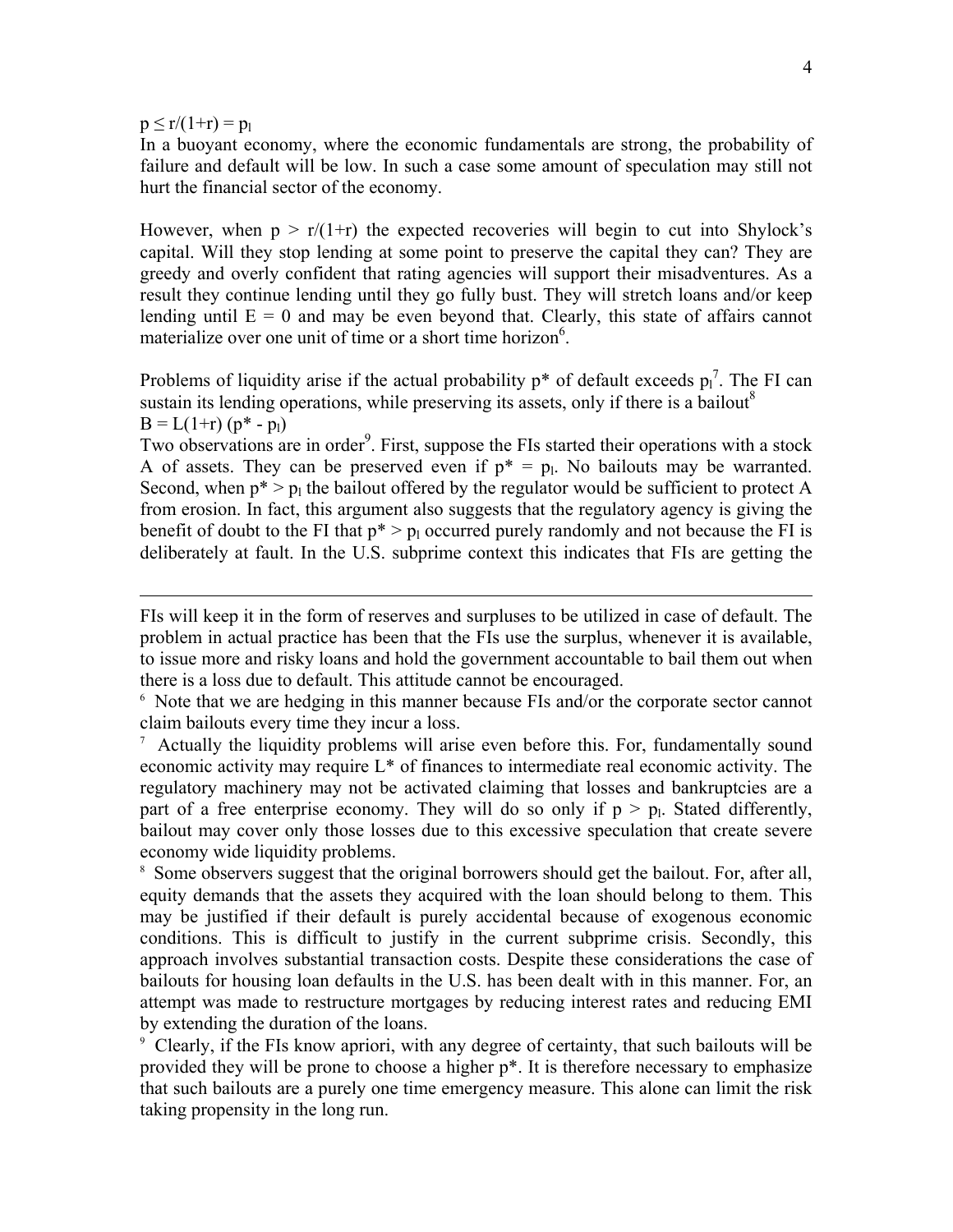$p \le r/(1+r) = p_1$ 

1

In a buoyant economy, where the economic fundamentals are strong, the probability of failure and default will be low. In such a case some amount of speculation may still not hurt the financial sector of the economy.

However, when  $p > r/(1+r)$  the expected recoveries will begin to cut into Shylock's capital. Will they stop lending at some point to preserve the capital they can? They are greedy and overly confident that rating agencies will support their misadventures. As a result they continue lending until they go fully bust. They will stretch loans and/or keep lending until  $E = 0$  and may be even beyond that. Clearly, this state of affairs cannot materialize over one unit of time or a short time horizon<sup>6</sup>.

Problems of liquidity arise if the actual probability  $p^*$  of default exceeds  $p_1^{\dagger}$ . The FI can sustain its lending operations, while preserving its assets, only if there is a bailout<sup>8</sup>  $B = L(1+r) (p^* - p_1)$ 

Two observations are in order<sup>9</sup>. First, suppose the FIs started their operations with a stock A of assets. They can be preserved even if  $p^* = p_1$ . No bailouts may be warranted. Second, when  $p^* > p_1$  the bailout offered by the regulator would be sufficient to protect A from erosion. In fact, this argument also suggests that the regulatory agency is giving the benefit of doubt to the FI that  $p^* > p_1$  occurred purely randomly and not because the FI is deliberately at fault. In the U.S. subprime context this indicates that FIs are getting the

FIs will keep it in the form of reserves and surpluses to be utilized in case of default. The problem in actual practice has been that the FIs use the surplus, whenever it is available, to issue more and risky loans and hold the government accountable to bail them out when there is a loss due to default. This attitude cannot be encouraged. 6 Note that we are hedging in this manner because FIs and/or the corporate sector cannot

claim bailouts every time they incur a loss.

<sup>7</sup> Actually the liquidity problems will arise even before this. For, fundamentally sound economic activity may require L\* of finances to intermediate real economic activity. The regulatory machinery may not be activated claiming that losses and bankruptcies are a part of a free enterprise economy. They will do so only if  $p > p<sub>l</sub>$ . Stated differently, bailout may cover only those losses due to this excessive speculation that create severe economy wide liquidity problems.

<sup>8</sup> Some observers suggest that the original borrowers should get the bailout. For, after all, equity demands that the assets they acquired with the loan should belong to them. This may be justified if their default is purely accidental because of exogenous economic conditions. This is difficult to justify in the current subprime crisis. Secondly, this approach involves substantial transaction costs. Despite these considerations the case of bailouts for housing loan defaults in the U.S. has been dealt with in this manner. For, an attempt was made to restructure mortgages by reducing interest rates and reducing EMI by extending the duration of the loans.

9 Clearly, if the FIs know apriori, with any degree of certainty, that such bailouts will be provided they will be prone to choose a higher p\*. It is therefore necessary to emphasize that such bailouts are a purely one time emergency measure. This alone can limit the risk taking propensity in the long run.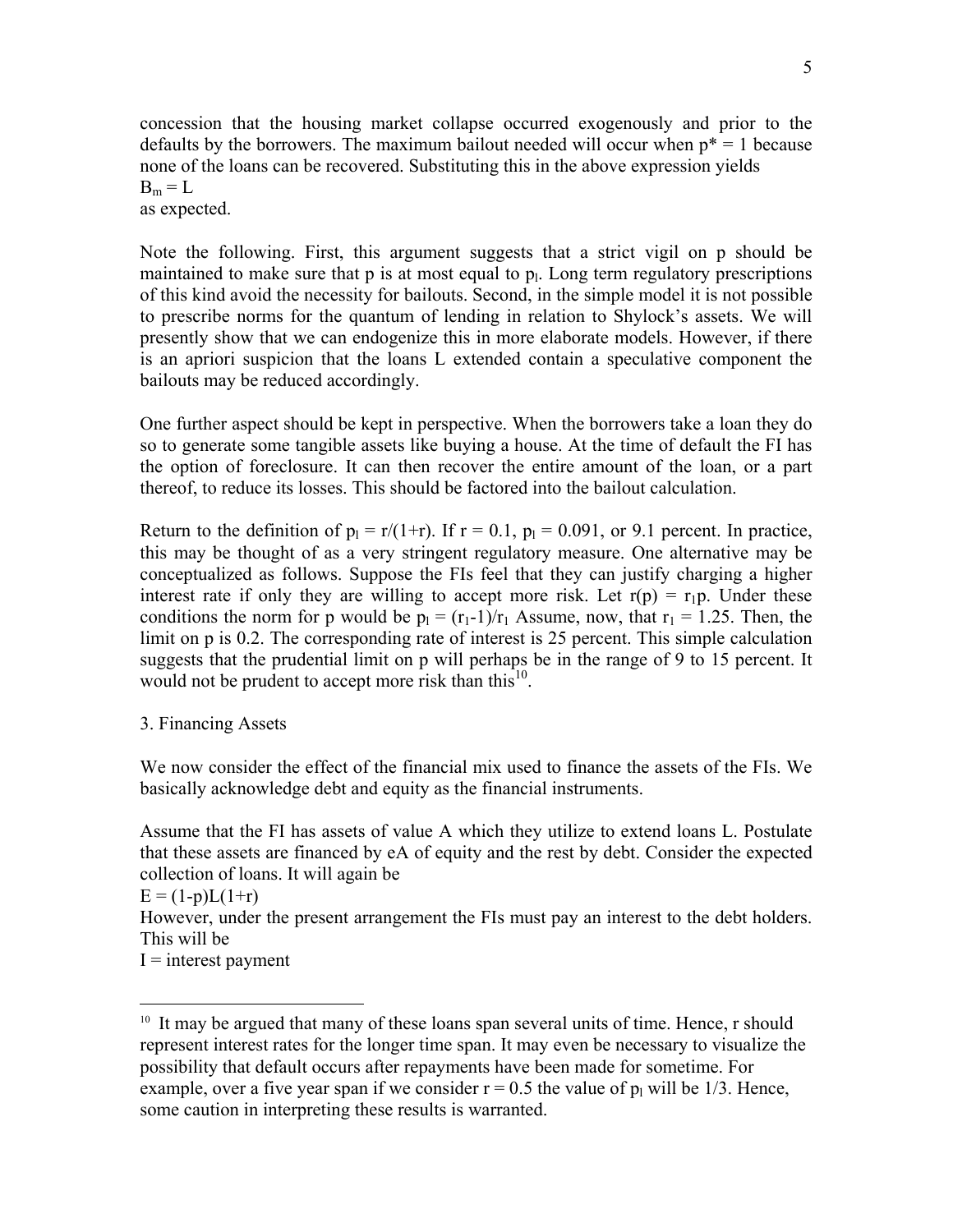concession that the housing market collapse occurred exogenously and prior to the defaults by the borrowers. The maximum bailout needed will occur when  $p^* = 1$  because none of the loans can be recovered. Substituting this in the above expression yields  $B_m = L$ 

as expected.

Note the following. First, this argument suggests that a strict vigil on p should be maintained to make sure that  $p$  is at most equal to  $p<sub>l</sub>$ . Long term regulatory prescriptions of this kind avoid the necessity for bailouts. Second, in the simple model it is not possible to prescribe norms for the quantum of lending in relation to Shylock's assets. We will presently show that we can endogenize this in more elaborate models. However, if there is an apriori suspicion that the loans L extended contain a speculative component the bailouts may be reduced accordingly.

One further aspect should be kept in perspective. When the borrowers take a loan they do so to generate some tangible assets like buying a house. At the time of default the FI has the option of foreclosure. It can then recover the entire amount of the loan, or a part thereof, to reduce its losses. This should be factored into the bailout calculation.

Return to the definition of  $p_1 = r/(1+r)$ . If  $r = 0.1$ ,  $p_1 = 0.091$ , or 9.1 percent. In practice, this may be thought of as a very stringent regulatory measure. One alternative may be conceptualized as follows. Suppose the FIs feel that they can justify charging a higher interest rate if only they are willing to accept more risk. Let  $r(p) = r_1p$ . Under these conditions the norm for p would be  $p_1 = (r_1-1)/r_1$  Assume, now, that  $r_1 = 1.25$ . Then, the limit on p is 0.2. The corresponding rate of interest is 25 percent. This simple calculation suggests that the prudential limit on p will perhaps be in the range of 9 to 15 percent. It would not be prudent to accept more risk than this<sup>10</sup>.

3. Financing Assets

We now consider the effect of the financial mix used to finance the assets of the FIs. We basically acknowledge debt and equity as the financial instruments.

Assume that the FI has assets of value A which they utilize to extend loans L. Postulate that these assets are financed by eA of equity and the rest by debt. Consider the expected collection of loans. It will again be

 $E = (1-p)L(1+r)$ 

 $\overline{a}$ 

However, under the present arrangement the FIs must pay an interest to the debt holders. This will be

 $I =$  interest payment

<sup>&</sup>lt;sup>10</sup> It may be argued that many of these loans span several units of time. Hence, r should represent interest rates for the longer time span. It may even be necessary to visualize the possibility that default occurs after repayments have been made for sometime. For example, over a five year span if we consider  $r = 0.5$  the value of  $p_1$  will be 1/3. Hence, some caution in interpreting these results is warranted.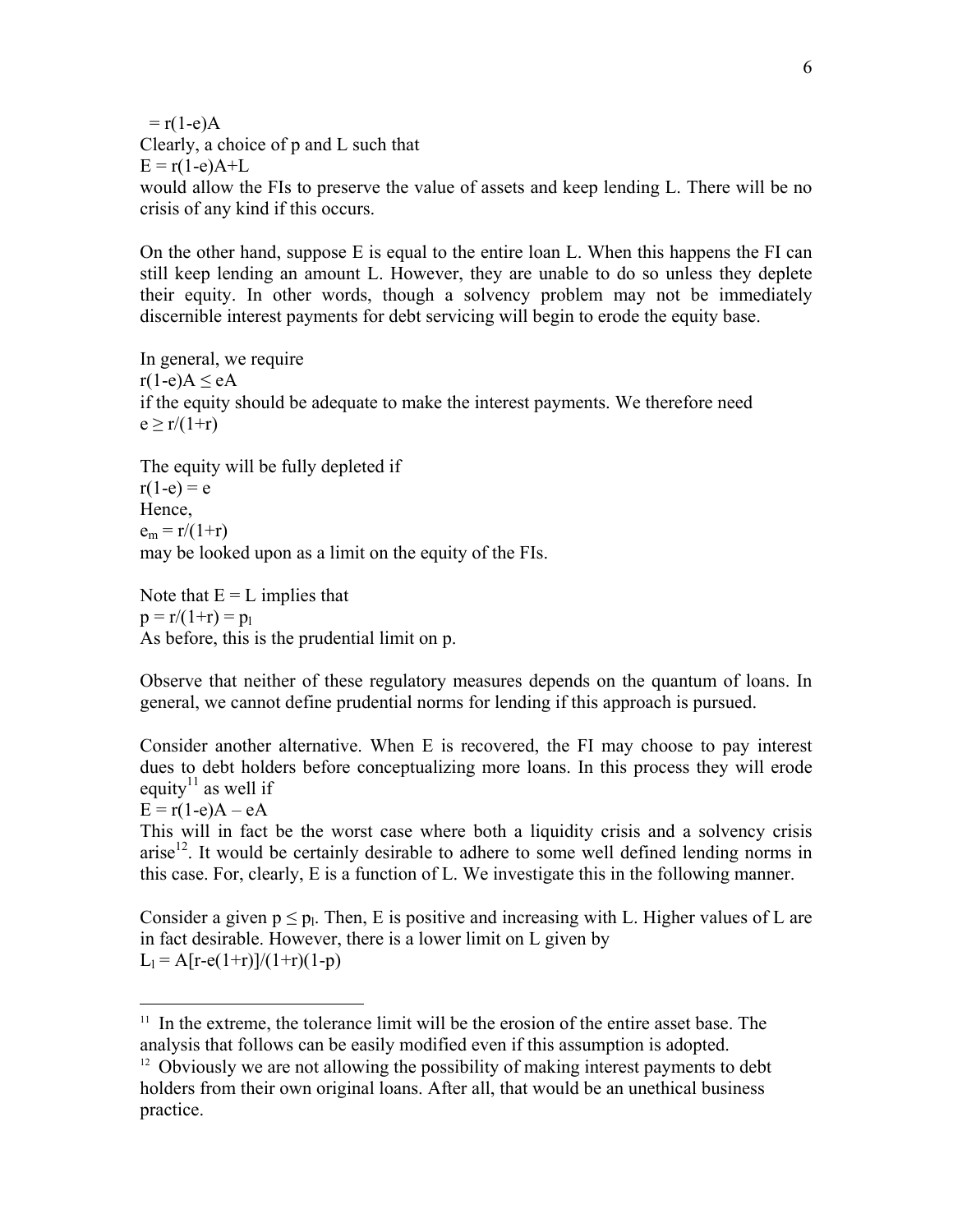$= r(1-e)A$ Clearly, a choice of p and L such that  $E = r(1-e)A+L$ would allow the FIs to preserve the value of assets and keep lending L. There will be no crisis of any kind if this occurs.

On the other hand, suppose E is equal to the entire loan L. When this happens the FI can still keep lending an amount L. However, they are unable to do so unless they deplete their equity. In other words, though a solvency problem may not be immediately discernible interest payments for debt servicing will begin to erode the equity base.

In general, we require  $r(1-e)A \leq eA$ if the equity should be adequate to make the interest payments. We therefore need  $e > r/(1+r)$ 

The equity will be fully depleted if

 $r(1-e) = e$ Hence,  $e_m = r/(1+r)$ may be looked upon as a limit on the equity of the FIs.

Note that  $E = L$  implies that  $p = r/(1+r) = p_1$ As before, this is the prudential limit on p.

Observe that neither of these regulatory measures depends on the quantum of loans. In general, we cannot define prudential norms for lending if this approach is pursued.

Consider another alternative. When E is recovered, the FI may choose to pay interest dues to debt holders before conceptualizing more loans. In this process they will erode equity<sup>11</sup> as well if

 $E = r(1-e)A - eA$ 

 $\overline{a}$ 

This will in fact be the worst case where both a liquidity crisis and a solvency crisis arise<sup>12</sup>. It would be certainly desirable to adhere to some well defined lending norms in this case. For, clearly, E is a function of L. We investigate this in the following manner.

Consider a given  $p \leq p_l$ . Then, E is positive and increasing with L. Higher values of L are in fact desirable. However, there is a lower limit on L given by  $L_1 = A[r-e(1+r)]/(1+r)(1-p)$ 

 $11$  In the extreme, the tolerance limit will be the erosion of the entire asset base. The analysis that follows can be easily modified even if this assumption is adopted.<br><sup>12</sup> Obviously we are not allowing the possibility of making interest payments to debt

holders from their own original loans. After all, that would be an unethical business practice.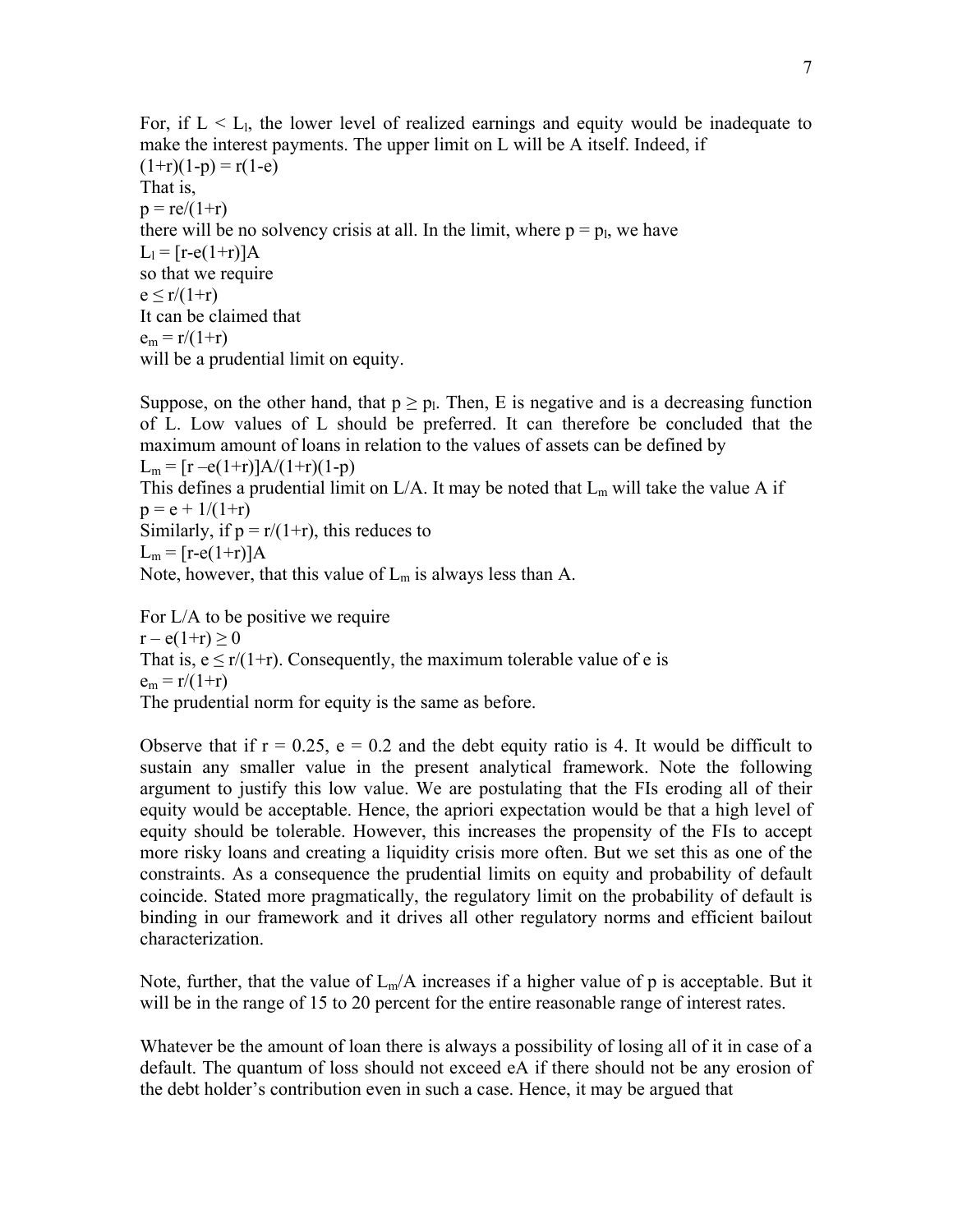For, if  $L < L<sub>1</sub>$ , the lower level of realized earnings and equity would be inadequate to make the interest payments. The upper limit on L will be A itself. Indeed, if  $(1+r)(1-p) = r(1-e)$ That is,  $p = re/(1+r)$ there will be no solvency crisis at all. In the limit, where  $p = p_l$ , we have  $L_1 = [r-e(1+r)]A$ so that we require  $e \le r/(1+r)$ It can be claimed that  $e_m = r/(1+r)$ will be a prudential limit on equity.

Suppose, on the other hand, that  $p \ge p_1$ . Then, E is negative and is a decreasing function of L. Low values of L should be preferred. It can therefore be concluded that the maximum amount of loans in relation to the values of assets can be defined by  $L_m = [r - e(1+r)]A/(1+r)(1-p)$ This defines a prudential limit on  $L/A$ . It may be noted that  $L_m$  will take the value A if  $p = e + 1/(1+r)$ Similarly, if  $p = r/(1+r)$ , this reduces to  $L_m = [r-e(1+r)]A$ Note, however, that this value of  $L_m$  is always less than A.

For L/A to be positive we require  $r - e(1+r) > 0$ That is,  $e \le r/(1+r)$ . Consequently, the maximum tolerable value of e is  $e_m = r/(1+r)$ The prudential norm for equity is the same as before.

Observe that if  $r = 0.25$ ,  $e = 0.2$  and the debt equity ratio is 4. It would be difficult to sustain any smaller value in the present analytical framework. Note the following argument to justify this low value. We are postulating that the FIs eroding all of their equity would be acceptable. Hence, the apriori expectation would be that a high level of equity should be tolerable. However, this increases the propensity of the FIs to accept more risky loans and creating a liquidity crisis more often. But we set this as one of the constraints. As a consequence the prudential limits on equity and probability of default coincide. Stated more pragmatically, the regulatory limit on the probability of default is binding in our framework and it drives all other regulatory norms and efficient bailout characterization.

Note, further, that the value of  $L_m/A$  increases if a higher value of p is acceptable. But it will be in the range of 15 to 20 percent for the entire reasonable range of interest rates.

Whatever be the amount of loan there is always a possibility of losing all of it in case of a default. The quantum of loss should not exceed eA if there should not be any erosion of the debt holder's contribution even in such a case. Hence, it may be argued that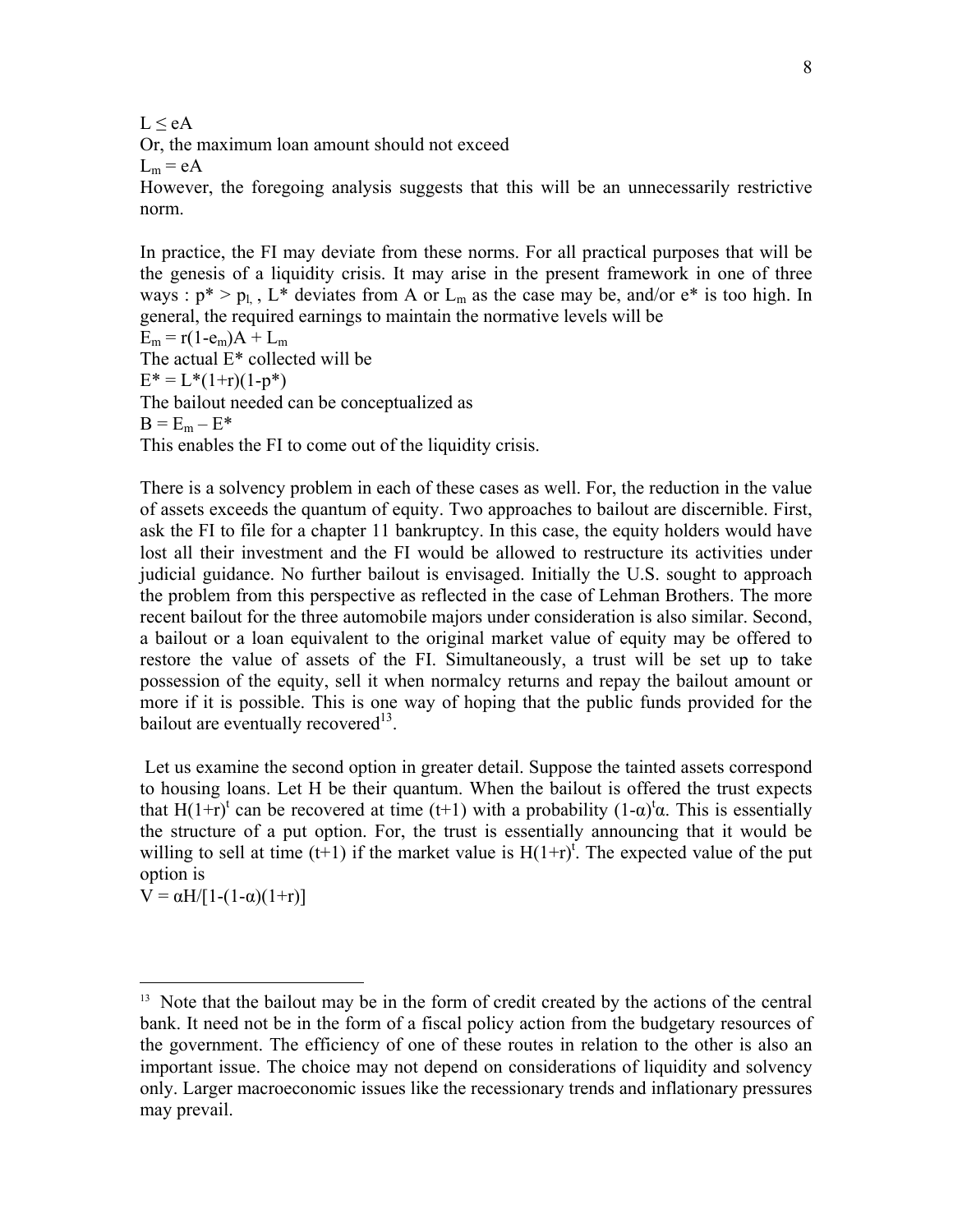$L < eA$ 

Or, the maximum loan amount should not exceed

 $L_m = eA$ 

However, the foregoing analysis suggests that this will be an unnecessarily restrictive norm.

In practice, the FI may deviate from these norms. For all practical purposes that will be the genesis of a liquidity crisis. It may arise in the present framework in one of three ways :  $p^* > p_l$ , L<sup>\*</sup> deviates from A or L<sub>m</sub> as the case may be, and/or e<sup>\*</sup> is too high. In general, the required earnings to maintain the normative levels will be  $E_m = r(1-e_m)A + L_m$ The actual E\* collected will be  $E^* = L^*(1+r)(1-p^*)$ The bailout needed can be conceptualized as  $B = E_m - E^*$ This enables the FI to come out of the liquidity crisis.

There is a solvency problem in each of these cases as well. For, the reduction in the value of assets exceeds the quantum of equity. Two approaches to bailout are discernible. First, ask the FI to file for a chapter 11 bankruptcy. In this case, the equity holders would have lost all their investment and the FI would be allowed to restructure its activities under judicial guidance. No further bailout is envisaged. Initially the U.S. sought to approach the problem from this perspective as reflected in the case of Lehman Brothers. The more recent bailout for the three automobile majors under consideration is also similar. Second, a bailout or a loan equivalent to the original market value of equity may be offered to restore the value of assets of the FI. Simultaneously, a trust will be set up to take possession of the equity, sell it when normalcy returns and repay the bailout amount or more if it is possible. This is one way of hoping that the public funds provided for the bailout are eventually recovered $^{13}$ .

 Let us examine the second option in greater detail. Suppose the tainted assets correspond to housing loans. Let H be their quantum. When the bailout is offered the trust expects that H(1+r)<sup>t</sup> can be recovered at time (t+1) with a probability (1- $\alpha$ )<sup>t</sup> $\alpha$ . This is essentially the structure of a put option. For, the trust is essentially announcing that it would be willing to sell at time  $(t+1)$  if the market value is  $H(1+r)^{t}$ . The expected value of the put option is

V =  $\alpha$ H/[1-(1-α)(1+r)]

 $\overline{a}$ 

<sup>&</sup>lt;sup>13</sup> Note that the bailout may be in the form of credit created by the actions of the central bank. It need not be in the form of a fiscal policy action from the budgetary resources of the government. The efficiency of one of these routes in relation to the other is also an important issue. The choice may not depend on considerations of liquidity and solvency only. Larger macroeconomic issues like the recessionary trends and inflationary pressures may prevail.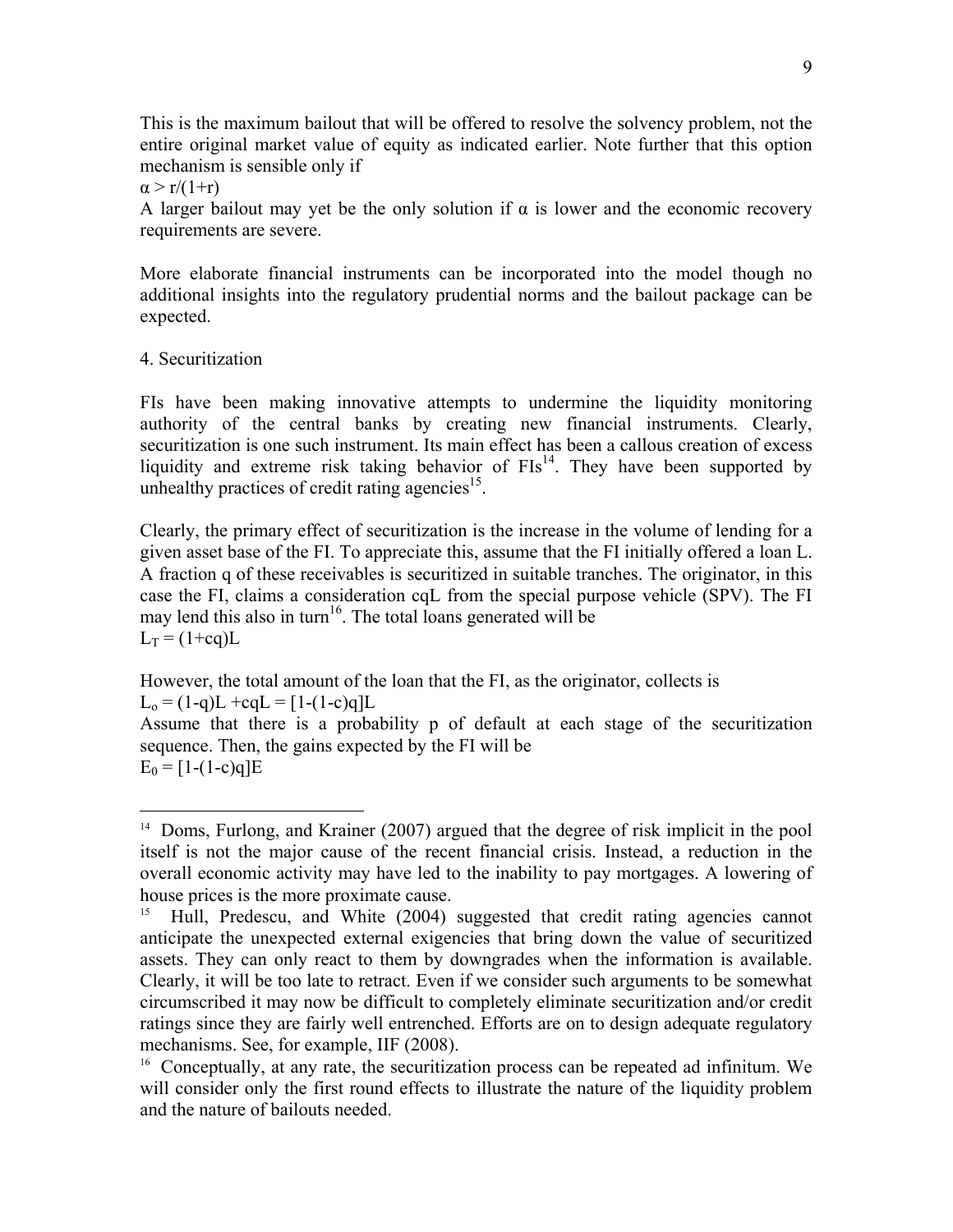This is the maximum bailout that will be offered to resolve the solvency problem, not the entire original market value of equity as indicated earlier. Note further that this option mechanism is sensible only if

 $\alpha > r/(1+r)$ 

A larger bailout may yet be the only solution if  $\alpha$  is lower and the economic recovery requirements are severe.

More elaborate financial instruments can be incorporated into the model though no additional insights into the regulatory prudential norms and the bailout package can be expected.

## 4. Securitization

 $\overline{a}$ 

FIs have been making innovative attempts to undermine the liquidity monitoring authority of the central banks by creating new financial instruments. Clearly, securitization is one such instrument. Its main effect has been a callous creation of excess liquidity and extreme risk taking behavior of  $FIs<sup>14</sup>$ . They have been supported by unhealthy practices of credit rating agencies<sup>15</sup>.

Clearly, the primary effect of securitization is the increase in the volume of lending for a given asset base of the FI. To appreciate this, assume that the FI initially offered a loan L. A fraction q of these receivables is securitized in suitable tranches. The originator, in this case the FI, claims a consideration cqL from the special purpose vehicle (SPV). The FI may lend this also in turn<sup>16</sup>. The total loans generated will be  $L_T = (1+cq)L$ 

However, the total amount of the loan that the FI, as the originator, collects is  $L_0 = (1-q)L + eqL = [1-(1-c)q]L$ 

Assume that there is a probability p of default at each stage of the securitization sequence. Then, the gains expected by the FI will be  $E_0 = [1-(1-c)q]E$ 

<sup>&</sup>lt;sup>14</sup> Doms, Furlong, and Krainer (2007) argued that the degree of risk implicit in the pool itself is not the major cause of the recent financial crisis. Instead, a reduction in the overall economic activity may have led to the inability to pay mortgages. A lowering of house prices is the more proximate cause.

<sup>&</sup>lt;sup>15</sup> Hull, Predescu, and White (2004) suggested that credit rating agencies cannot anticipate the unexpected external exigencies that bring down the value of securitized assets. They can only react to them by downgrades when the information is available. Clearly, it will be too late to retract. Even if we consider such arguments to be somewhat circumscribed it may now be difficult to completely eliminate securitization and/or credit ratings since they are fairly well entrenched. Efforts are on to design adequate regulatory mechanisms. See, for example, IIF (2008).

<sup>&</sup>lt;sup>16</sup> Conceptually, at any rate, the securitization process can be repeated ad infinitum. We will consider only the first round effects to illustrate the nature of the liquidity problem and the nature of bailouts needed.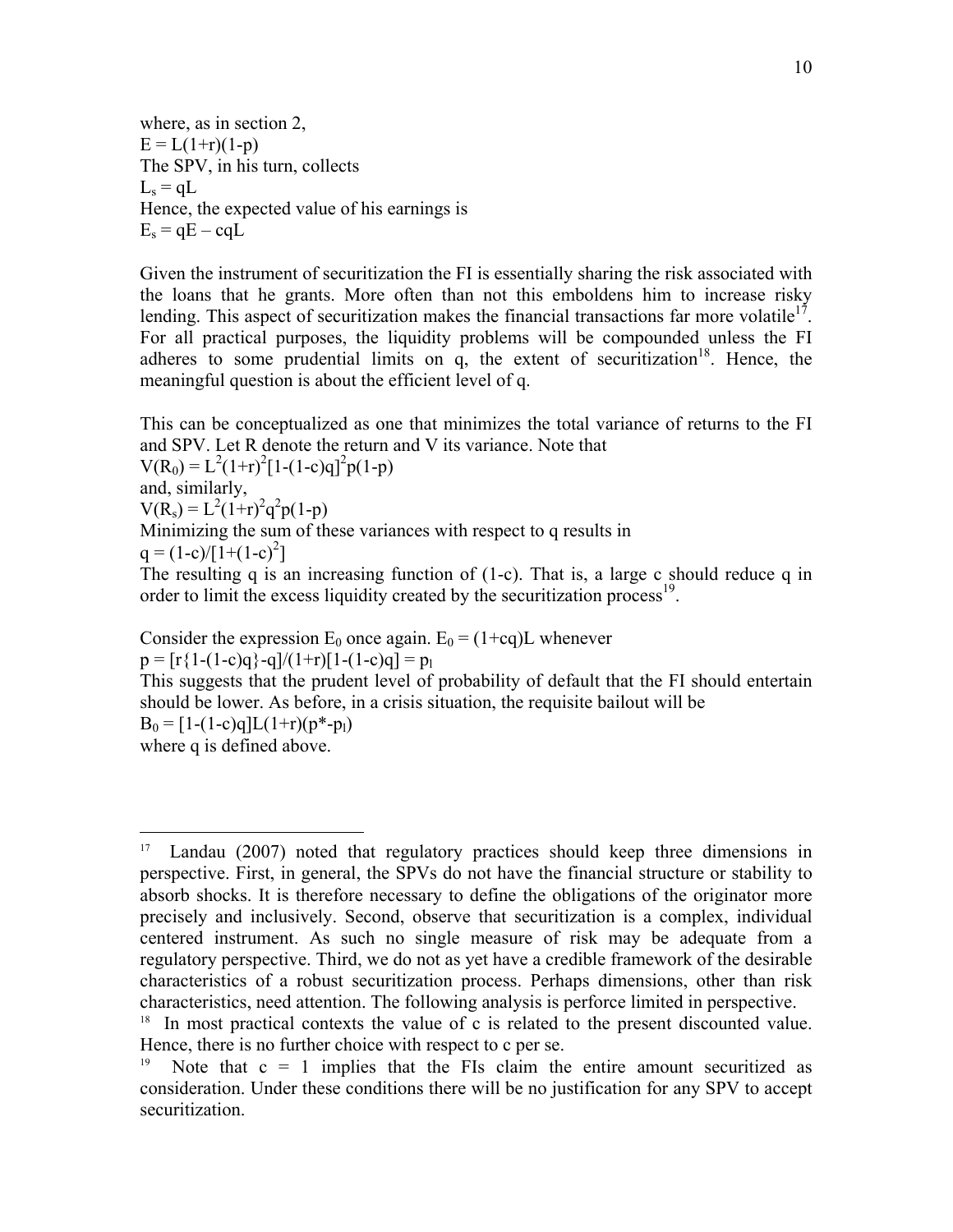where, as in section 2,  $E = L(1+r)(1-p)$ The SPV, in his turn, collects  $L_s = qL$ Hence, the expected value of his earnings is  $E_s = qE - cqL$ 

Given the instrument of securitization the FI is essentially sharing the risk associated with the loans that he grants. More often than not this emboldens him to increase risky lending. This aspect of securitization makes the financial transactions far more volatile<sup>17</sup>. For all practical purposes, the liquidity problems will be compounded unless the FI adheres to some prudential limits on  $q$ , the extent of securitization<sup>18</sup>. Hence, the meaningful question is about the efficient level of q.

This can be conceptualized as one that minimizes the total variance of returns to the FI and SPV. Let R denote the return and V its variance. Note that

 $V(R_0) = L^2(1+r)^2[1-(1-c)q]^2p(1-p)$ and, similarly,

 $V(R_s) = L^2(1+r)^2 q^2 p(1-p)$ 

Minimizing the sum of these variances with respect to q results in

 $q = (1-c)/[1+(1-c)^2]$ 

The resulting q is an increasing function of (1-c). That is, a large c should reduce q in order to limit the excess liquidity created by the securitization process<sup>19</sup>.

Consider the expression  $E_0$  once again.  $E_0 = (1+cq)L$  whenever

 $p = [r{1-(1-c)q} - q]/(1+r)[1-(1-c)q] = p_1$ 

This suggests that the prudent level of probability of default that the FI should entertain should be lower. As before, in a crisis situation, the requisite bailout will be

 $B_0 = [1-(1-c)q]L(1+r)(p^*-p_1)$ 

where q is defined above.

 $\overline{a}$ 

<sup>&</sup>lt;sup>17</sup> Landau (2007) noted that regulatory practices should keep three dimensions in perspective. First, in general, the SPVs do not have the financial structure or stability to absorb shocks. It is therefore necessary to define the obligations of the originator more precisely and inclusively. Second, observe that securitization is a complex, individual centered instrument. As such no single measure of risk may be adequate from a regulatory perspective. Third, we do not as yet have a credible framework of the desirable characteristics of a robust securitization process. Perhaps dimensions, other than risk characteristics, need attention. The following analysis is perforce limited in perspective. 18 In most practical contexts the value of c is related to the present discounted value.

Hence, there is no further choice with respect to c per se.

Note that  $c = 1$  implies that the FIs claim the entire amount securitized as consideration. Under these conditions there will be no justification for any SPV to accept securitization.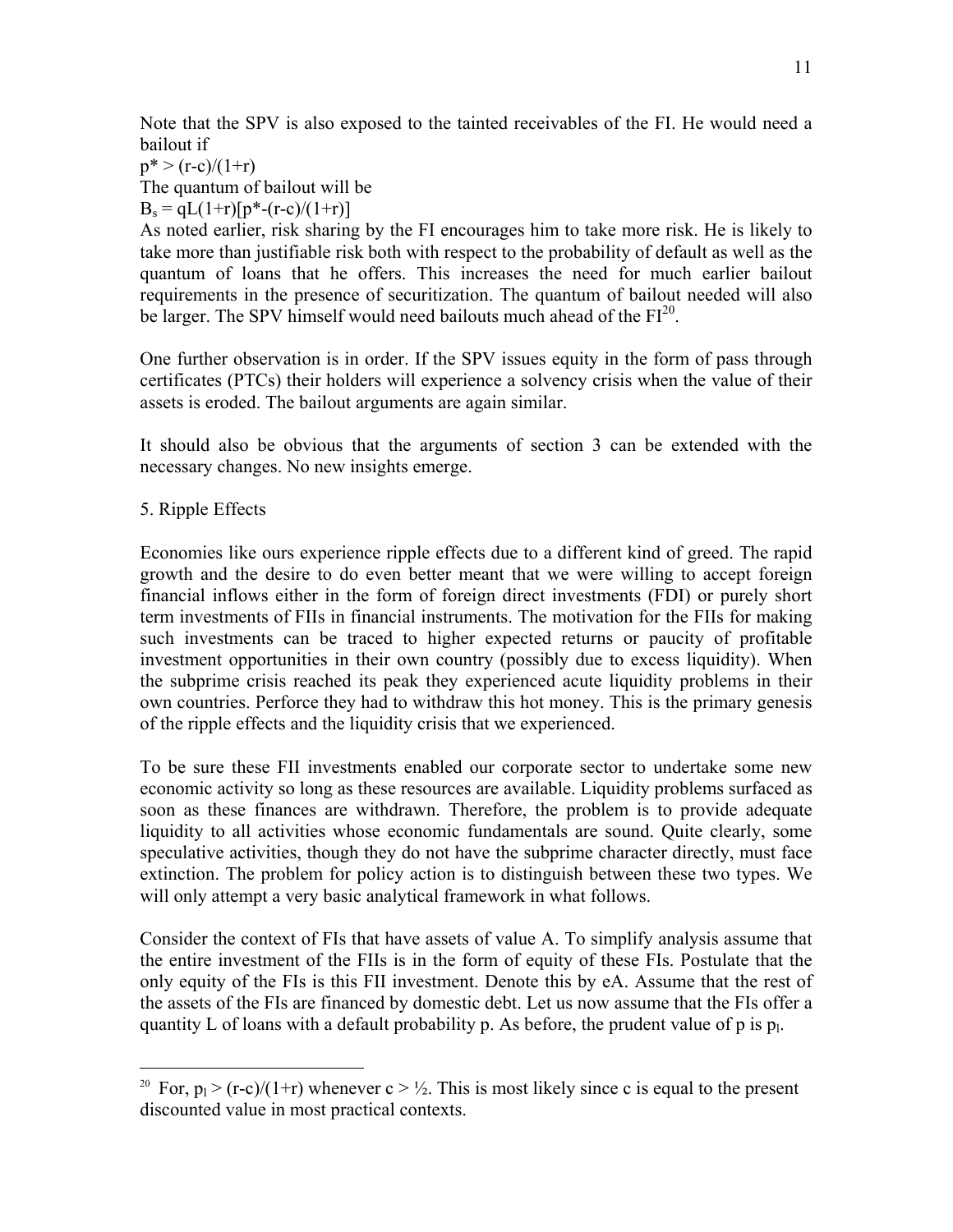Note that the SPV is also exposed to the tainted receivables of the FI. He would need a bailout if

 $p^*$  > (r-c)/(1+r) The quantum of bailout will be  $B_s = qL(1+r)[p^*(-r-c)/(1+r)]$ 

As noted earlier, risk sharing by the FI encourages him to take more risk. He is likely to take more than justifiable risk both with respect to the probability of default as well as the quantum of loans that he offers. This increases the need for much earlier bailout requirements in the presence of securitization. The quantum of bailout needed will also be larger. The SPV himself would need bailouts much ahead of the FI<sup>20</sup>.

One further observation is in order. If the SPV issues equity in the form of pass through certificates (PTCs) their holders will experience a solvency crisis when the value of their assets is eroded. The bailout arguments are again similar.

It should also be obvious that the arguments of section 3 can be extended with the necessary changes. No new insights emerge.

# 5. Ripple Effects

1

Economies like ours experience ripple effects due to a different kind of greed. The rapid growth and the desire to do even better meant that we were willing to accept foreign financial inflows either in the form of foreign direct investments (FDI) or purely short term investments of FIIs in financial instruments. The motivation for the FIIs for making such investments can be traced to higher expected returns or paucity of profitable investment opportunities in their own country (possibly due to excess liquidity). When the subprime crisis reached its peak they experienced acute liquidity problems in their own countries. Perforce they had to withdraw this hot money. This is the primary genesis of the ripple effects and the liquidity crisis that we experienced.

To be sure these FII investments enabled our corporate sector to undertake some new economic activity so long as these resources are available. Liquidity problems surfaced as soon as these finances are withdrawn. Therefore, the problem is to provide adequate liquidity to all activities whose economic fundamentals are sound. Quite clearly, some speculative activities, though they do not have the subprime character directly, must face extinction. The problem for policy action is to distinguish between these two types. We will only attempt a very basic analytical framework in what follows.

Consider the context of FIs that have assets of value A. To simplify analysis assume that the entire investment of the FIIs is in the form of equity of these FIs. Postulate that the only equity of the FIs is this FII investment. Denote this by eA. Assume that the rest of the assets of the FIs are financed by domestic debt. Let us now assume that the FIs offer a quantity L of loans with a default probability p. As before, the prudent value of p is  $p_1$ .

<sup>&</sup>lt;sup>20</sup> For,  $p_1 > (r-c)/(1+r)$  whenever  $c > \frac{1}{2}$ . This is most likely since c is equal to the present discounted value in most practical contexts.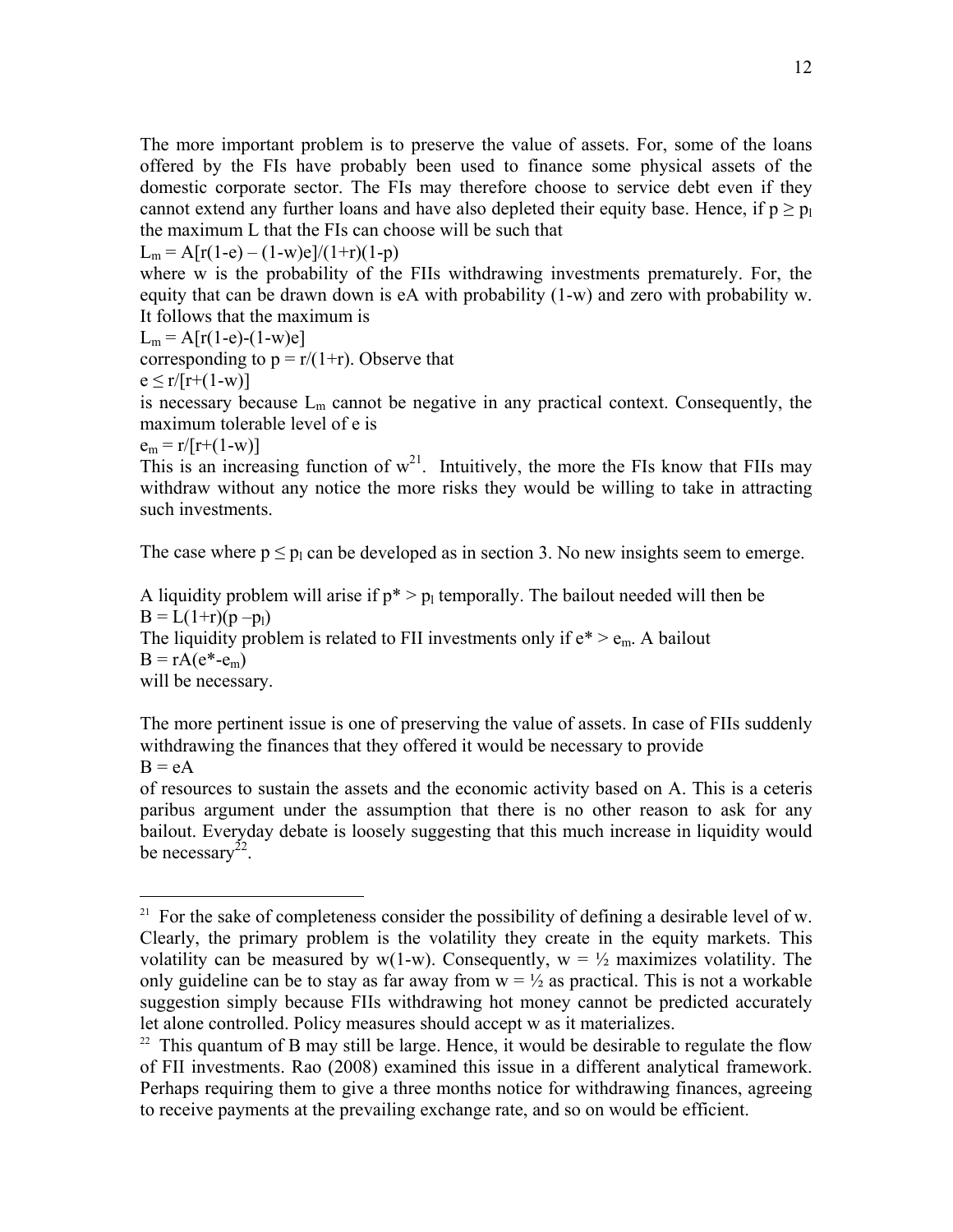The more important problem is to preserve the value of assets. For, some of the loans offered by the FIs have probably been used to finance some physical assets of the domestic corporate sector. The FIs may therefore choose to service debt even if they cannot extend any further loans and have also depleted their equity base. Hence, if  $p > p_1$ the maximum L that the FIs can choose will be such that

 $L_m = A[r(1-e) - (1-w)e]/(1+r)(1-p)$ where w is the probability of the FIIs withdrawing investments prematurely. For, the

equity that can be drawn down is eA with probability (1-w) and zero with probability w. It follows that the maximum is

$$
L_m = A[r(1-e)-(1-w)e]
$$

corresponding to  $p = r/(1+r)$ . Observe that

$$
e \le r/[r+(1-w)]
$$

is necessary because  $L_m$  cannot be negative in any practical context. Consequently, the maximum tolerable level of e is

 $e_m = r/[r+(1-w)]$ 

 $\overline{a}$ 

This is an increasing function of  $w^{21}$ . Intuitively, the more the FIs know that FIIs may withdraw without any notice the more risks they would be willing to take in attracting such investments.

The case where  $p \leq p_1$  can be developed as in section 3. No new insights seem to emerge.

A liquidity problem will arise if  $p^* > p_1$  temporally. The bailout needed will then be  $B = L(1+r)(p - p_1)$ The liquidity problem is related to FII investments only if  $e^* > e_m$ . A bailout  $B = rA(e^*-e_m)$ will be necessary.

The more pertinent issue is one of preserving the value of assets. In case of FIIs suddenly withdrawing the finances that they offered it would be necessary to provide  $B = eA$ 

of resources to sustain the assets and the economic activity based on A. This is a ceteris paribus argument under the assumption that there is no other reason to ask for any bailout. Everyday debate is loosely suggesting that this much increase in liquidity would be necessary $^{22}$ .

<sup>&</sup>lt;sup>21</sup> For the sake of completeness consider the possibility of defining a desirable level of w. Clearly, the primary problem is the volatility they create in the equity markets. This volatility can be measured by  $w(1-w)$ . Consequently,  $w = \frac{1}{2}$  maximizes volatility. The only guideline can be to stay as far away from  $w = \frac{1}{2}$  as practical. This is not a workable suggestion simply because FIIs withdrawing hot money cannot be predicted accurately let alone controlled. Policy measures should accept w as it materializes.<br><sup>22</sup> This quantum of B may still be large. Hence, it would be desirable to regulate the flow

of FII investments. Rao (2008) examined this issue in a different analytical framework. Perhaps requiring them to give a three months notice for withdrawing finances, agreeing to receive payments at the prevailing exchange rate, and so on would be efficient.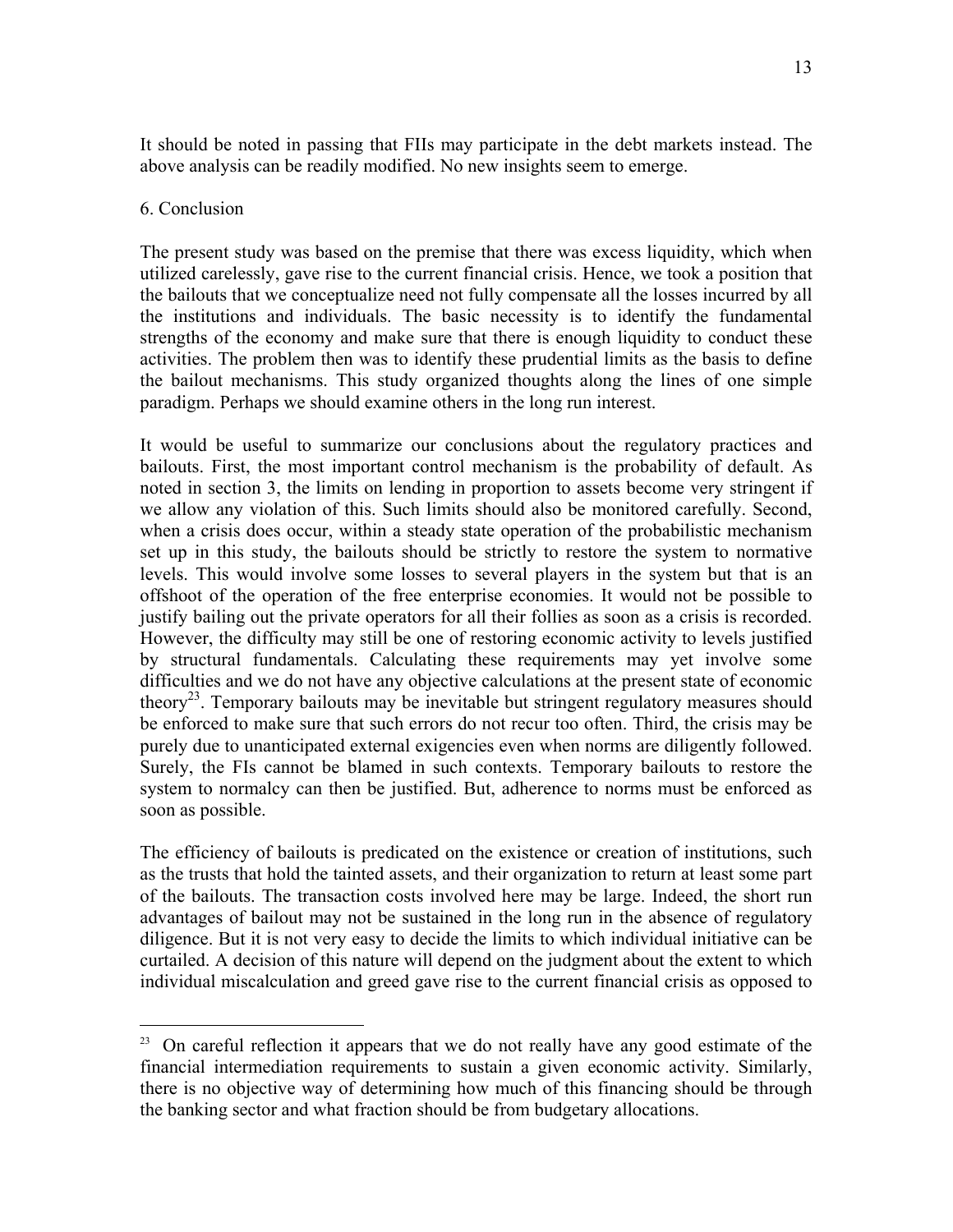It should be noted in passing that FIIs may participate in the debt markets instead. The above analysis can be readily modified. No new insights seem to emerge.

## 6. Conclusion

 $\overline{a}$ 

The present study was based on the premise that there was excess liquidity, which when utilized carelessly, gave rise to the current financial crisis. Hence, we took a position that the bailouts that we conceptualize need not fully compensate all the losses incurred by all the institutions and individuals. The basic necessity is to identify the fundamental strengths of the economy and make sure that there is enough liquidity to conduct these activities. The problem then was to identify these prudential limits as the basis to define the bailout mechanisms. This study organized thoughts along the lines of one simple paradigm. Perhaps we should examine others in the long run interest.

It would be useful to summarize our conclusions about the regulatory practices and bailouts. First, the most important control mechanism is the probability of default. As noted in section 3, the limits on lending in proportion to assets become very stringent if we allow any violation of this. Such limits should also be monitored carefully. Second, when a crisis does occur, within a steady state operation of the probabilistic mechanism set up in this study, the bailouts should be strictly to restore the system to normative levels. This would involve some losses to several players in the system but that is an offshoot of the operation of the free enterprise economies. It would not be possible to justify bailing out the private operators for all their follies as soon as a crisis is recorded. However, the difficulty may still be one of restoring economic activity to levels justified by structural fundamentals. Calculating these requirements may yet involve some difficulties and we do not have any objective calculations at the present state of economic theory<sup>23</sup>. Temporary bailouts may be inevitable but stringent regulatory measures should be enforced to make sure that such errors do not recur too often. Third, the crisis may be purely due to unanticipated external exigencies even when norms are diligently followed. Surely, the FIs cannot be blamed in such contexts. Temporary bailouts to restore the system to normalcy can then be justified. But, adherence to norms must be enforced as soon as possible.

The efficiency of bailouts is predicated on the existence or creation of institutions, such as the trusts that hold the tainted assets, and their organization to return at least some part of the bailouts. The transaction costs involved here may be large. Indeed, the short run advantages of bailout may not be sustained in the long run in the absence of regulatory diligence. But it is not very easy to decide the limits to which individual initiative can be curtailed. A decision of this nature will depend on the judgment about the extent to which individual miscalculation and greed gave rise to the current financial crisis as opposed to

 $23$  On careful reflection it appears that we do not really have any good estimate of the financial intermediation requirements to sustain a given economic activity. Similarly, there is no objective way of determining how much of this financing should be through the banking sector and what fraction should be from budgetary allocations.